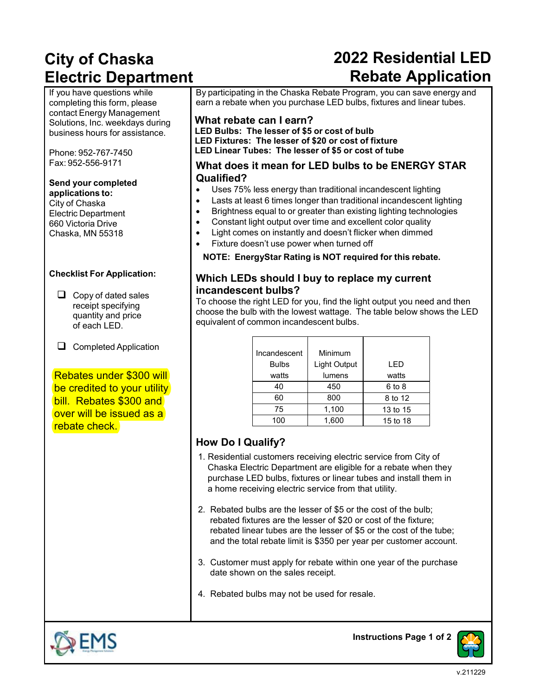# **City of Chaska Electric Department**

## **2022 Residential LED Rebate Application**

If you have questions while completing this form, please contact Energy Management Solutions, Inc. weekdays during business hours for assistance.

Phone: 952-767-7450 Fax: 952-556-9171

#### **Send your completed applications to:**

City of Chaska Electric Department 660 Victoria Drive Chaska, MN 55318

#### **Checklist For Application:**

- $\Box$  Copy of dated sales receipt specifying quantity and price of each LED.
- $\Box$  Completed Application

### Rebates under \$300 will be credited to your utility bill. Rebates \$300 and over will be issued as a rebate check.

By participating in the Chaska Rebate Program, you can save energy and earn a rebate when you purchase LED bulbs, fixtures and linear tubes.

#### **What rebate can I earn?**

**LED Bulbs: The lesser of \$5 or cost of bulb LED Fixtures: The lesser of \$20 or cost of fixture LED Linear Tubes: The lesser of \$5 or cost of tube**

#### **What does it mean for LED bulbs to be ENERGY STAR Qualified?**

- Uses 75% less energy than traditional incandescent lighting
- Lasts at least 6 times longer than traditional incandescent lighting
- Brightness equal to or greater than existing lighting technologies
- Constant light output over time and excellent color quality
- Light comes on instantly and doesn't flicker when dimmed
- Fixture doesn't use power when turned off

**NOTE: EnergyStar Rating is NOT required for this rebate.**

### **Which LEDs should I buy to replace my current incandescent bulbs?**

To choose the right LED for you, find the light output you need and then choose the bulb with the lowest wattage. The table below shows the LED equivalent of common incandescent bulbs.

| Incandescent | Minimum      |                                    |  |  |
|--------------|--------------|------------------------------------|--|--|
| <b>Bulbs</b> | Light Output | I FD<br>watts<br>6 to 8<br>8 to 12 |  |  |
| watts        | lumens       |                                    |  |  |
| 40           | 450          |                                    |  |  |
| 60           | 800          |                                    |  |  |
| 75           | 1,100        | 13 to 15                           |  |  |
| 100          | 1,600        | 15 to 18                           |  |  |

### **How Do I Qualify?**

- 1. Residential customers receiving electric service from City of Chaska Electric Department are eligible for a rebate when they purchase LED bulbs, fixtures or linear tubes and install them in a home receiving electric service from that utility.
- 2. Rebated bulbs are the lesser of \$5 or the cost of the bulb; rebated fixtures are the lesser of \$20 or cost of the fixture; rebated linear tubes are the lesser of \$5 or the cost of the tube; and the total rebate limit is \$350 per year per customer account.
- 3. Customer must apply for rebate within one year of the purchase date shown on the sales receipt.
- 4. Rebated bulbs may not be used for resale.



**Instructions Page 1 of 2**

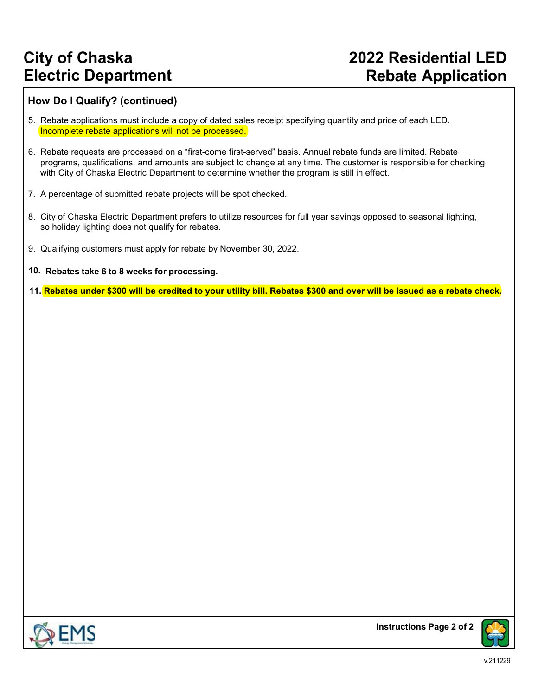## **City of Chaska Electric Department**

### **2022 Residential LED Rebate Application**

#### **How Do I Qualify? (continued)**

- 5. Rebate applications must include a copy of dated sales receipt specifying quantity and price of each LED. Incomplete rebate applications will not be processed.
- 6. Rebate requests are processed on a "first-come first-served" basis. Annual rebate funds are limited. Rebate programs, qualifications, and amounts are subject to change at any time. The customer is responsible for checking with City of Chaska Electric Department to determine whether the program is still in effect.
- 7. A percentage of submitted rebate projects will be spot checked.
- 8. City of Chaska Electric Department prefers to utilize resources for full year savings opposed to seasonal lighting, so holiday lighting does not qualify for rebates.
- 9. Qualifying customers must apply for rebate by November 30, 2022.
- **10. Rebates take 6 to 8 weeks for processing.**
- **11. Rebates under \$300 will be credited to your utility bill. Rebates \$300 and over will be issued as a rebate check.**



**Instructions Page 2 of 2**